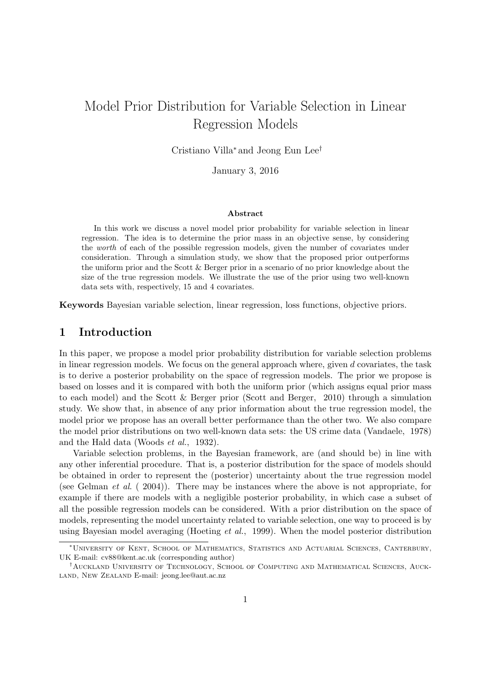# Model Prior Distribution for Variable Selection in Linear Regression Models

Cristiano Villa<sup>∗</sup> and Jeong Eun Lee†

January 3, 2016

#### Abstract

In this work we discuss a novel model prior probability for variable selection in linear regression. The idea is to determine the prior mass in an objective sense, by considering the worth of each of the possible regression models, given the number of covariates under consideration. Through a simulation study, we show that the proposed prior outperforms the uniform prior and the Scott & Berger prior in a scenario of no prior knowledge about the size of the true regression models. We illustrate the use of the prior using two well-known data sets with, respectively, 15 and 4 covariates.

Keywords Bayesian variable selection, linear regression, loss functions, objective priors.

## 1 Introduction

In this paper, we propose a model prior probability distribution for variable selection problems in linear regression models. We focus on the general approach where, given  $d$  covariates, the task is to derive a posterior probability on the space of regression models. The prior we propose is based on losses and it is compared with both the uniform prior (which assigns equal prior mass to each model) and the Scott & Berger prior (Scott and Berger, 2010) through a simulation study. We show that, in absence of any prior information about the true regression model, the model prior we propose has an overall better performance than the other two. We also compare the model prior distributions on two well-known data sets: the US crime data (Vandaele, 1978) and the Hald data (Woods et al., 1932).

Variable selection problems, in the Bayesian framework, are (and should be) in line with any other inferential procedure. That is, a posterior distribution for the space of models should be obtained in order to represent the (posterior) uncertainty about the true regression model (see Gelman et al. ( 2004)). There may be instances where the above is not appropriate, for example if there are models with a negligible posterior probability, in which case a subset of all the possible regression models can be considered. With a prior distribution on the space of models, representing the model uncertainty related to variable selection, one way to proceed is by using Bayesian model averaging (Hoeting et al., 1999). When the model posterior distribution

<sup>∗</sup>University of Kent, School of Mathematics, Statistics and Actuarial Sciences, Canterbury, UK E-mail: cv88@kent.ac.uk (corresponding author)

<sup>†</sup>Auckland University of Technology, School of Computing and Mathematical Sciences, Auckland, New Zealand E-mail: jeong.lee@aut.ac.nz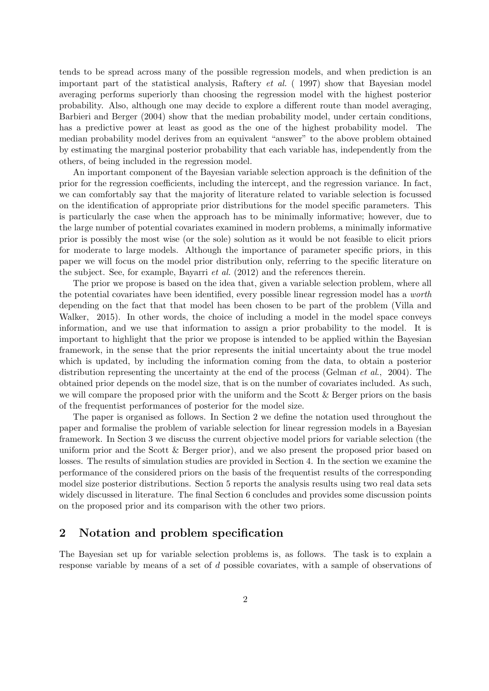tends to be spread across many of the possible regression models, and when prediction is an important part of the statistical analysis, Raftery et al. ( 1997) show that Bayesian model averaging performs superiorly than choosing the regression model with the highest posterior probability. Also, although one may decide to explore a different route than model averaging, Barbieri and Berger (2004) show that the median probability model, under certain conditions, has a predictive power at least as good as the one of the highest probability model. The median probability model derives from an equivalent "answer" to the above problem obtained by estimating the marginal posterior probability that each variable has, independently from the others, of being included in the regression model.

An important component of the Bayesian variable selection approach is the definition of the prior for the regression coefficients, including the intercept, and the regression variance. In fact, we can comfortably say that the majority of literature related to variable selection is focussed on the identification of appropriate prior distributions for the model specific parameters. This is particularly the case when the approach has to be minimally informative; however, due to the large number of potential covariates examined in modern problems, a minimally informative prior is possibly the most wise (or the sole) solution as it would be not feasible to elicit priors for moderate to large models. Although the importance of parameter specific priors, in this paper we will focus on the model prior distribution only, referring to the specific literature on the subject. See, for example, Bayarri et al. (2012) and the references therein.

The prior we propose is based on the idea that, given a variable selection problem, where all the potential covariates have been identified, every possible linear regression model has a worth depending on the fact that that model has been chosen to be part of the problem (Villa and Walker, 2015). In other words, the choice of including a model in the model space conveys information, and we use that information to assign a prior probability to the model. It is important to highlight that the prior we propose is intended to be applied within the Bayesian framework, in the sense that the prior represents the initial uncertainty about the true model which is updated, by including the information coming from the data, to obtain a posterior distribution representing the uncertainty at the end of the process (Gelman *et al.*, 2004). The obtained prior depends on the model size, that is on the number of covariates included. As such, we will compare the proposed prior with the uniform and the Scott & Berger priors on the basis of the frequentist performances of posterior for the model size.

The paper is organised as follows. In Section 2 we define the notation used throughout the paper and formalise the problem of variable selection for linear regression models in a Bayesian framework. In Section 3 we discuss the current objective model priors for variable selection (the uniform prior and the Scott & Berger prior), and we also present the proposed prior based on losses. The results of simulation studies are provided in Section 4. In the section we examine the performance of the considered priors on the basis of the frequentist results of the corresponding model size posterior distributions. Section 5 reports the analysis results using two real data sets widely discussed in literature. The final Section 6 concludes and provides some discussion points on the proposed prior and its comparison with the other two priors.

## 2 Notation and problem specification

The Bayesian set up for variable selection problems is, as follows. The task is to explain a response variable by means of a set of d possible covariates, with a sample of observations of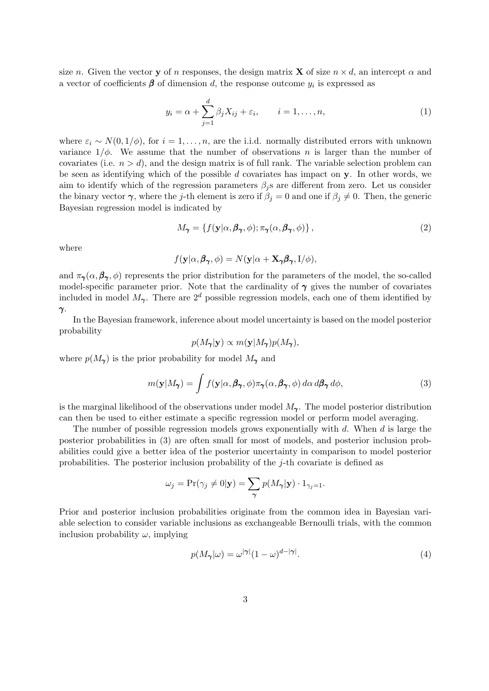size n. Given the vector y of n responses, the design matrix **X** of size  $n \times d$ , an intercept  $\alpha$  and a vector of coefficients  $\beta$  of dimension d, the response outcome  $y_i$  is expressed as

$$
y_i = \alpha + \sum_{j=1}^d \beta_j X_{ij} + \varepsilon_i, \qquad i = 1, \dots, n,
$$
\n(1)

where  $\varepsilon_i \sim N(0, 1/\phi)$ , for  $i = 1, \ldots, n$ , are the i.i.d. normally distributed errors with unknown variance  $1/\phi$ . We assume that the number of observations n is larger than the number of covariates (i.e.  $n > d$ ), and the design matrix is of full rank. The variable selection problem can be seen as identifying which of the possible  $d$  covariates has impact on  $y$ . In other words, we aim to identify which of the regression parameters  $\beta_i$  s are different from zero. Let us consider the binary vector  $\gamma$ , where the j-th element is zero if  $\beta_i = 0$  and one if  $\beta_i \neq 0$ . Then, the generic Bayesian regression model is indicated by

$$
M_{\gamma} = \{ f(\mathbf{y}|\alpha, \beta_{\gamma}, \phi); \pi_{\gamma}(\alpha, \beta_{\gamma}, \phi) \},
$$
\n(2)

where

$$
f(\mathbf{y}|\alpha, \boldsymbol{\beta}_{\boldsymbol{\gamma}}, \phi) = N(\mathbf{y}|\alpha + \mathbf{X}_{\boldsymbol{\gamma}}\boldsymbol{\beta}_{\boldsymbol{\gamma}}, I/\phi),
$$

and  $\pi_{\gamma}(\alpha, \beta_{\gamma}, \phi)$  represents the prior distribution for the parameters of the model, the so-called model-specific parameter prior. Note that the cardinality of  $\gamma$  gives the number of covariates included in model  $M_{\gamma}$ . There are  $2^d$  possible regression models, each one of them identified by γ.

In the Bayesian framework, inference about model uncertainty is based on the model posterior probability

$$
p(M_{\pmb\gamma}|\mathbf{y}) \propto m(\mathbf{y}|M_{\pmb\gamma})p(M_{\pmb\gamma}),
$$

where  $p(M_{\gamma})$  is the prior probability for model  $M_{\gamma}$  and

$$
m(\mathbf{y}|M_{\pmb{\gamma}}) = \int f(\mathbf{y}|\alpha, \pmb{\beta}_{\pmb{\gamma}}, \phi) \pi_{\pmb{\gamma}}(\alpha, \pmb{\beta}_{\pmb{\gamma}}, \phi) \, d\alpha \, d\pmb{\beta}_{\pmb{\gamma}} \, d\phi,\tag{3}
$$

is the marginal likelihood of the observations under model  $M_{\gamma}$ . The model posterior distribution can then be used to either estimate a specific regression model or perform model averaging.

The number of possible regression models grows exponentially with  $d$ . When  $d$  is large the posterior probabilities in (3) are often small for most of models, and posterior inclusion probabilities could give a better idea of the posterior uncertainty in comparison to model posterior probabilities. The posterior inclusion probability of the j-th covariate is defined as

$$
\omega_j = \Pr(\gamma_j \neq 0 | \mathbf{y}) = \sum_{\gamma} p(M_{\gamma} | \mathbf{y}) \cdot 1_{\gamma_j = 1}.
$$

Prior and posterior inclusion probabilities originate from the common idea in Bayesian variable selection to consider variable inclusions as exchangeable Bernoulli trials, with the common inclusion probability  $\omega$ , implying

$$
p(M_{\gamma}|\omega) = \omega^{|\gamma|}(1-\omega)^{d-|\gamma|}.
$$
\n(4)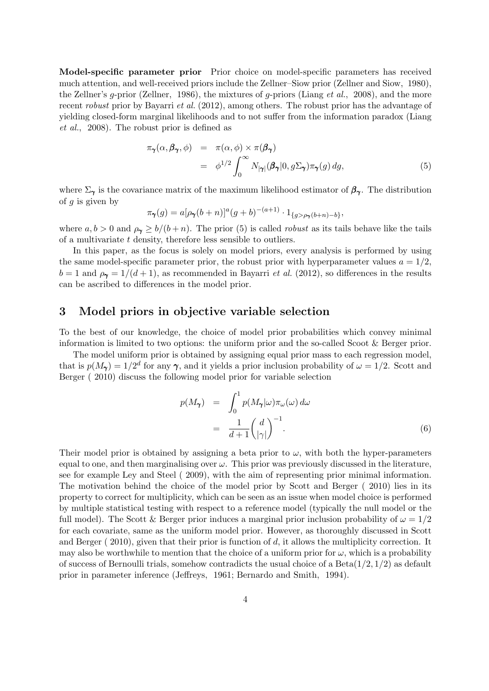Model-specific parameter prior Prior choice on model-specific parameters has received much attention, and well-received priors include the Zellner–Siow prior (Zellner and Siow, 1980), the Zellner's g-prior (Zellner, 1986), the mixtures of g-priors (Liang *et al.*, 2008), and the more recent robust prior by Bayarri et al. (2012), among others. The robust prior has the advantage of yielding closed-form marginal likelihoods and to not suffer from the information paradox (Liang et al., 2008). The robust prior is defined as

$$
\pi_{\gamma}(\alpha, \beta_{\gamma}, \phi) = \pi(\alpha, \phi) \times \pi(\beta_{\gamma})
$$
  
=  $\phi^{1/2} \int_0^{\infty} N_{|\gamma|}(\beta_{\gamma}|0, g\Sigma_{\gamma}) \pi_{\gamma}(g) dg,$  (5)

where  $\Sigma_{\gamma}$  is the covariance matrix of the maximum likelihood estimator of  $\beta_{\gamma}$ . The distribution of  $g$  is given by

$$
\pi_{\pmb{\gamma}}(g) = a[\rho_{\pmb{\gamma}}(b+n)]^a (g+b)^{-(a+1)} \cdot 1_{\{g > \rho_{\pmb{\gamma}}(b+n)-b\}},
$$

where  $a, b > 0$  and  $\rho_{\gamma} \ge b/(b+n)$ . The prior (5) is called *robust* as its tails behave like the tails of a multivariate t density, therefore less sensible to outliers.

In this paper, as the focus is solely on model priors, every analysis is performed by using the same model-specific parameter prior, the robust prior with hyperparameter values  $a = 1/2$ .  $b = 1$  and  $\rho_{\gamma} = 1/(d+1)$ , as recommended in Bayarri *et al.* (2012), so differences in the results can be ascribed to differences in the model prior.

## 3 Model priors in objective variable selection

To the best of our knowledge, the choice of model prior probabilities which convey minimal information is limited to two options: the uniform prior and the so-called Scoot & Berger prior.

The model uniform prior is obtained by assigning equal prior mass to each regression model, that is  $p(M_{\gamma}) = 1/2^d$  for any  $\gamma$ , and it yields a prior inclusion probability of  $\omega = 1/2$ . Scott and Berger ( 2010) discuss the following model prior for variable selection

$$
p(M_{\gamma}) = \int_0^1 p(M_{\gamma}|\omega)\pi_{\omega}(\omega) d\omega
$$
  
= 
$$
\frac{1}{d+1} \left(\frac{d}{|\gamma|}\right)^{-1}.
$$
 (6)

Their model prior is obtained by assigning a beta prior to  $\omega$ , with both the hyper-parameters equal to one, and then marginalising over  $\omega$ . This prior was previously discussed in the literature, see for example Ley and Steel ( 2009), with the aim of representing prior minimal information. The motivation behind the choice of the model prior by Scott and Berger ( 2010) lies in its property to correct for multiplicity, which can be seen as an issue when model choice is performed by multiple statistical testing with respect to a reference model (typically the null model or the full model). The Scott & Berger prior induces a marginal prior inclusion probability of  $\omega = 1/2$ for each covariate, same as the uniform model prior. However, as thoroughly discussed in Scott and Berger  $(2010)$ , given that their prior is function of d, it allows the multiplicity correction. It may also be worthwhile to mention that the choice of a uniform prior for  $\omega$ , which is a probability of success of Bernoulli trials, somehow contradicts the usual choice of a Beta $(1/2, 1/2)$  as default prior in parameter inference (Jeffreys, 1961; Bernardo and Smith, 1994).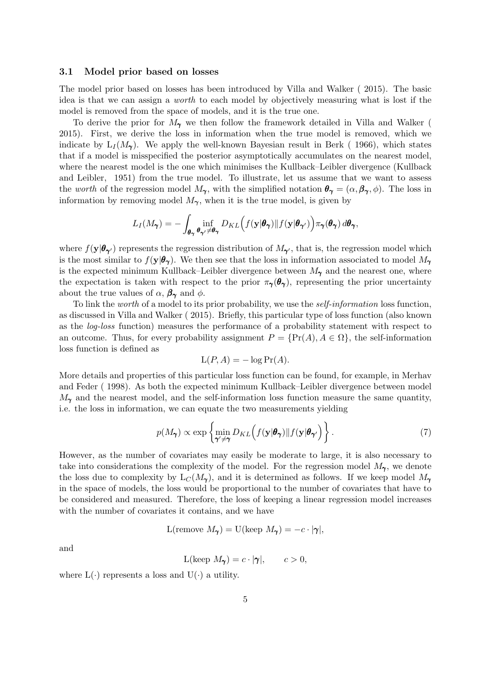#### 3.1 Model prior based on losses

The model prior based on losses has been introduced by Villa and Walker ( 2015). The basic idea is that we can assign a worth to each model by objectively measuring what is lost if the model is removed from the space of models, and it is the true one.

To derive the prior for  $M_{\gamma}$  we then follow the framework detailed in Villa and Walker ( 2015). First, we derive the loss in information when the true model is removed, which we indicate by  $L_I(M_\gamma)$ . We apply the well-known Bayesian result in Berk (1966), which states that if a model is misspecified the posterior asymptotically accumulates on the nearest model, where the nearest model is the one which minimises the Kullback–Leibler divergence (Kullback and Leibler, 1951) from the true model. To illustrate, let us assume that we want to assess the worth of the regression model  $M_{\gamma}$ , with the simplified notation  $\theta_{\gamma} = (\alpha, \beta_{\gamma}, \phi)$ . The loss in information by removing model  $M_{\gamma}$ , when it is the true model, is given by

$$
L_I(M_{\pmb\gamma})=-\int_{\pmb\theta_{\pmb\gamma}}\inf_{\pmb\theta_{\pmb\gamma'}\neq\pmb\theta_{\pmb\gamma}}D_{KL}\Big(f(\mathbf{y}|\pmb\theta_{\pmb\gamma})\|f(\mathbf{y}|\pmb\theta_{\pmb\gamma'})\Big)\pi_{\pmb\gamma}(\pmb\theta_{\pmb\gamma})\,d\pmb\theta_{\pmb\gamma},
$$

where  $f(\mathbf{y}|\boldsymbol{\theta}_{\boldsymbol{\gamma}})$  represents the regression distribution of  $M_{\boldsymbol{\gamma}}$ , that is, the regression model which is the most similar to  $f(\mathbf{y}|\boldsymbol{\theta}_{\gamma})$ . We then see that the loss in information associated to model  $M_{\gamma}$ is the expected minimum Kullback–Leibler divergence between  $M_{\gamma}$  and the nearest one, where the expectation is taken with respect to the prior  $\pi_{\gamma}(\theta_{\gamma})$ , representing the prior uncertainty about the true values of  $\alpha$ ,  $\beta_{\gamma}$  and  $\phi$ .

To link the worth of a model to its prior probability, we use the self-information loss function, as discussed in Villa and Walker ( 2015). Briefly, this particular type of loss function (also known as the log-loss function) measures the performance of a probability statement with respect to an outcome. Thus, for every probability assignment  $P = \{Pr(A), A \in \Omega\}$ , the self-information loss function is defined as

$$
L(P, A) = -\log \Pr(A).
$$

More details and properties of this particular loss function can be found, for example, in Merhav and Feder ( 1998). As both the expected minimum Kullback–Leibler divergence between model  $M_{\gamma}$  and the nearest model, and the self-information loss function measure the same quantity, i.e. the loss in information, we can equate the two measurements yielding

$$
p(M_{\pmb{\gamma}}) \propto \exp\left\{\min_{\pmb{\gamma}' \neq \pmb{\gamma}} D_{KL}\left(f(\mathbf{y}|\pmb{\theta}_{\pmb{\gamma}})\|f(\mathbf{y}|\pmb{\theta}_{\pmb{\gamma}'})\right)\right\}.
$$
 (7)

However, as the number of covariates may easily be moderate to large, it is also necessary to take into considerations the complexity of the model. For the regression model  $M_{\gamma}$ , we denote the loss due to complexity by  $L_C(M_\gamma)$ , and it is determined as follows. If we keep model  $M_\gamma$ in the space of models, the loss would be proportional to the number of covariates that have to be considered and measured. Therefore, the loss of keeping a linear regression model increases with the number of covariates it contains, and we have

$$
L(\text{remove } M_{\gamma}) = U(\text{keep } M_{\gamma}) = -c \cdot |\gamma|,
$$

and

$$
L(\text{keep }M_{\pmb{\gamma}}) = c \cdot |\pmb{\gamma}|, \qquad c > 0,
$$

where  $L(\cdot)$  represents a loss and  $U(\cdot)$  a utility.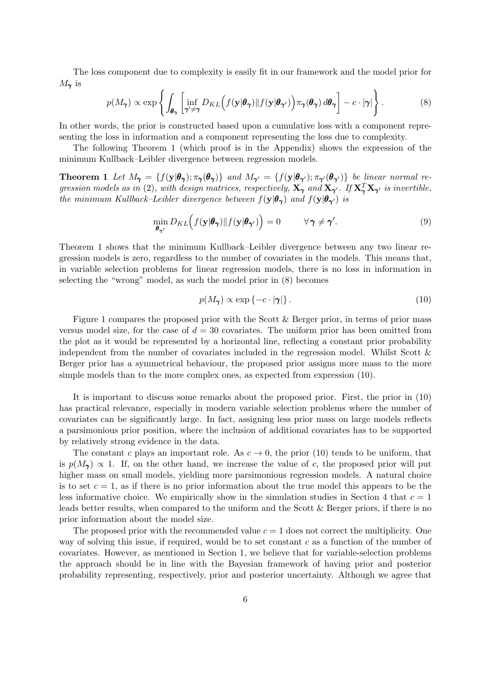The loss component due to complexity is easily fit in our framework and the model prior for  $M_{\gamma}$  is

$$
p(M_{\pmb{\gamma}}) \propto \exp\left\{ \int_{\pmb{\theta}_{\pmb{\gamma}}} \left[ \inf_{\pmb{\gamma}' \neq \pmb{\gamma}} D_{KL} \Big( f(\mathbf{y} | \pmb{\theta}_{\pmb{\gamma}}) \| f(\mathbf{y} | \pmb{\theta}_{\pmb{\gamma}'} ) \Big) \pi_{\pmb{\gamma}}(\pmb{\theta}_{\pmb{\gamma}}) \, d\pmb{\theta}_{\pmb{\gamma}} \right] - c \cdot |\pmb{\gamma}| \right\}.
$$
 (8)

In other words, the prior is constructed based upon a cumulative loss with a component representing the loss in information and a component representing the loss due to complexity.

The following Theorem 1 (which proof is in the Appendix) shows the expression of the minimum Kullback–Leibler divergence between regression models.

**Theorem 1** Let  $M_{\gamma} = \{f(\mathbf{y}|\boldsymbol{\theta}_{\gamma}); \pi_{\gamma}(\boldsymbol{\theta}_{\gamma})\}$  and  $M_{\gamma'} = \{f(\mathbf{y}|\boldsymbol{\theta}_{\gamma'}); \pi_{\gamma'}(\boldsymbol{\theta}_{\gamma'})\}$  be linear normal regression models as in (2), with design matrices, respectively,  $X_{\gamma}$  and  $X_{\gamma'}$ . If  $X_{\gamma}^T X_{\gamma'}$  is invertible, the minimum Kullback–Leibler divergence between  $f(\mathbf{y}|\boldsymbol{\theta}_{\boldsymbol{\gamma}})$  and  $f(\mathbf{y}|\boldsymbol{\theta}_{\boldsymbol{\gamma}'})$  is

$$
\min_{\boldsymbol{\theta}_{\boldsymbol{\gamma}'}} D_{KL} \Big( f(\mathbf{y} | \boldsymbol{\theta}_{\boldsymbol{\gamma}}) \| f(\mathbf{y} | \boldsymbol{\theta}_{\boldsymbol{\gamma}'} ) \Big) = 0 \qquad \forall \, \boldsymbol{\gamma} \neq \boldsymbol{\gamma}'. \tag{9}
$$

Theorem 1 shows that the minimum Kullback–Leibler divergence between any two linear regression models is zero, regardless to the number of covariates in the models. This means that, in variable selection problems for linear regression models, there is no loss in information in selecting the "wrong" model, as such the model prior in (8) becomes

$$
p(M_{\pmb{\gamma}}) \propto \exp\left\{-c \cdot |\pmb{\gamma}|\right\}.\tag{10}
$$

Figure 1 compares the proposed prior with the Scott & Berger prior, in terms of prior mass versus model size, for the case of  $d = 30$  covariates. The uniform prior has been omitted from the plot as it would be represented by a horizontal line, reflecting a constant prior probability independent from the number of covariates included in the regression model. Whilst Scott  $\&$ Berger prior has a symmetrical behaviour, the proposed prior assigns more mass to the more simple models than to the more complex ones, as expected from expression (10).

It is important to discuss some remarks about the proposed prior. First, the prior in (10) has practical relevance, especially in modern variable selection problems where the number of covariates can be significantly large. In fact, assigning less prior mass on large models reflects a parsimonious prior position, where the inclusion of additional covariates has to be supported by relatively strong evidence in the data.

The constant c plays an important role. As  $c \to 0$ , the prior (10) tends to be uniform, that is  $p(M_{\gamma}) \propto 1$ . If, on the other hand, we increase the value of c, the proposed prior will put higher mass on small models, yielding more parsimonious regression models. A natural choice is to set  $c = 1$ , as if there is no prior information about the true model this appears to be the less informative choice. We empirically show in the simulation studies in Section 4 that  $c = 1$ leads better results, when compared to the uniform and the Scott & Berger priors, if there is no prior information about the model size.

The proposed prior with the recommended value  $c = 1$  does not correct the multiplicity. One way of solving this issue, if required, would be to set constant  $c$  as a function of the number of covariates. However, as mentioned in Section 1, we believe that for variable-selection problems the approach should be in line with the Bayesian framework of having prior and posterior probability representing, respectively, prior and posterior uncertainty. Although we agree that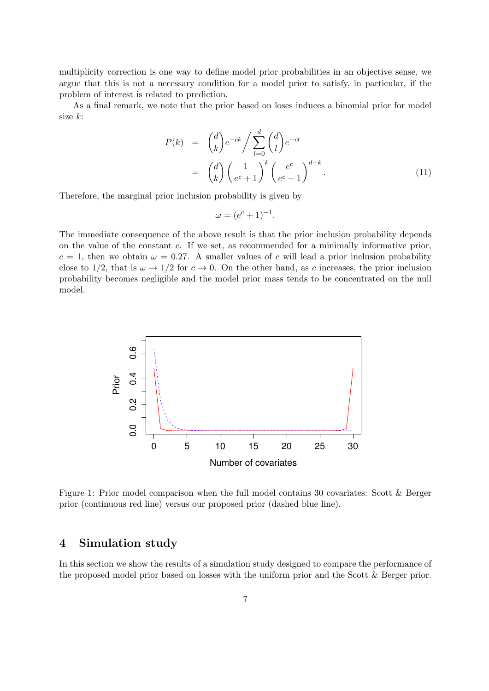multiplicity correction is one way to define model prior probabilities in an objective sense, we argue that this is not a necessary condition for a model prior to satisfy, in particular, if the problem of interest is related to prediction.

As a final remark, we note that the prior based on loses induces a binomial prior for model size k:

$$
P(k) = {d \choose k} e^{-ck} / \sum_{l=0}^{d} {d \choose l} e^{-cl}
$$
  

$$
= {d \choose k} \left(\frac{1}{e^c + 1}\right)^k \left(\frac{e^c}{e^c + 1}\right)^{d-k}.
$$
 (11)

Therefore, the marginal prior inclusion probability is given by

$$
\omega = (e^c + 1)^{-1}.
$$

The immediate consequence of the above result is that the prior inclusion probability depends on the value of the constant c. If we set, as recommended for a minimally informative prior,  $c = 1$ , then we obtain  $\omega = 0.27$ . A smaller values of c will lead a prior inclusion probability close to 1/2, that is  $\omega \to 1/2$  for  $c \to 0$ . On the other hand, as c increases, the prior inclusion probability becomes negligible and the model prior mass tends to be concentrated on the null model.



Figure 1: Prior model comparison when the full model contains 30 covariates: Scott & Berger prior (continuous red line) versus our proposed prior (dashed blue line).

## 4 Simulation study

In this section we show the results of a simulation study designed to compare the performance of the proposed model prior based on losses with the uniform prior and the Scott & Berger prior.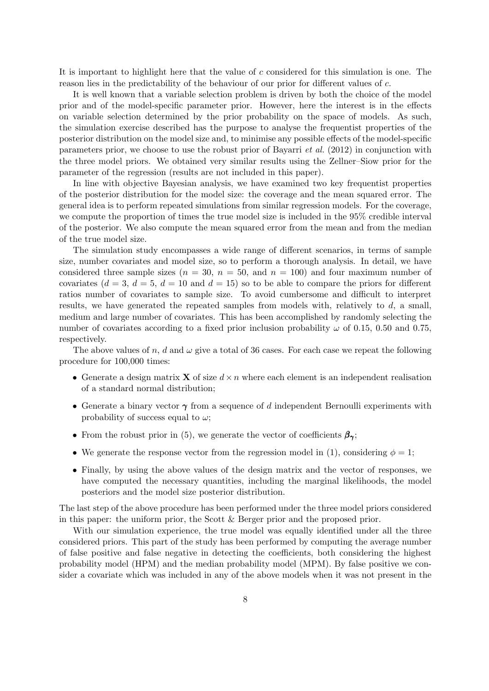It is important to highlight here that the value of c considered for this simulation is one. The reason lies in the predictability of the behaviour of our prior for different values of c.

It is well known that a variable selection problem is driven by both the choice of the model prior and of the model-specific parameter prior. However, here the interest is in the effects on variable selection determined by the prior probability on the space of models. As such, the simulation exercise described has the purpose to analyse the frequentist properties of the posterior distribution on the model size and, to minimise any possible effects of the model-specific parameters prior, we choose to use the robust prior of Bayarri et al. (2012) in conjunction with the three model priors. We obtained very similar results using the Zellner–Siow prior for the parameter of the regression (results are not included in this paper).

In line with objective Bayesian analysis, we have examined two key frequentist properties of the posterior distribution for the model size: the coverage and the mean squared error. The general idea is to perform repeated simulations from similar regression models. For the coverage, we compute the proportion of times the true model size is included in the 95% credible interval of the posterior. We also compute the mean squared error from the mean and from the median of the true model size.

The simulation study encompasses a wide range of different scenarios, in terms of sample size, number covariates and model size, so to perform a thorough analysis. In detail, we have considered three sample sizes ( $n = 30$ ,  $n = 50$ , and  $n = 100$ ) and four maximum number of covariates  $(d = 3, d = 5, d = 10 \text{ and } d = 15)$  so to be able to compare the priors for different ratios number of covariates to sample size. To avoid cumbersome and difficult to interpret results, we have generated the repeated samples from models with, relatively to d, a small, medium and large number of covariates. This has been accomplished by randomly selecting the number of covariates according to a fixed prior inclusion probability  $\omega$  of 0.15, 0.50 and 0.75, respectively.

The above values of n, d and  $\omega$  give a total of 36 cases. For each case we repeat the following procedure for 100,000 times:

- Generate a design matrix **X** of size  $d \times n$  where each element is an independent realisation of a standard normal distribution;
- Generate a binary vector  $\gamma$  from a sequence of d independent Bernoulli experiments with probability of success equal to  $\omega$ ;
- From the robust prior in (5), we generate the vector of coefficients  $\beta_{\gamma}$ ;
- We generate the response vector from the regression model in (1), considering  $\phi = 1$ ;
- Finally, by using the above values of the design matrix and the vector of responses, we have computed the necessary quantities, including the marginal likelihoods, the model posteriors and the model size posterior distribution.

The last step of the above procedure has been performed under the three model priors considered in this paper: the uniform prior, the Scott & Berger prior and the proposed prior.

With our simulation experience, the true model was equally identified under all the three considered priors. This part of the study has been performed by computing the average number of false positive and false negative in detecting the coefficients, both considering the highest probability model (HPM) and the median probability model (MPM). By false positive we consider a covariate which was included in any of the above models when it was not present in the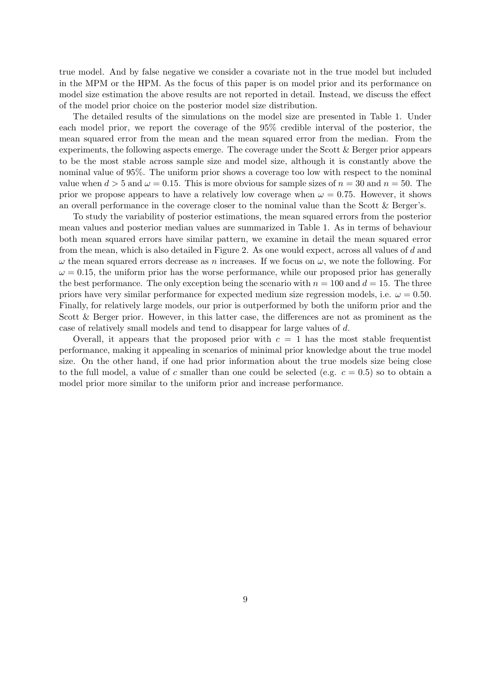true model. And by false negative we consider a covariate not in the true model but included in the MPM or the HPM. As the focus of this paper is on model prior and its performance on model size estimation the above results are not reported in detail. Instead, we discuss the effect of the model prior choice on the posterior model size distribution.

The detailed results of the simulations on the model size are presented in Table 1. Under each model prior, we report the coverage of the 95% credible interval of the posterior, the mean squared error from the mean and the mean squared error from the median. From the experiments, the following aspects emerge. The coverage under the Scott & Berger prior appears to be the most stable across sample size and model size, although it is constantly above the nominal value of 95%. The uniform prior shows a coverage too low with respect to the nominal value when  $d > 5$  and  $\omega = 0.15$ . This is more obvious for sample sizes of  $n = 30$  and  $n = 50$ . The prior we propose appears to have a relatively low coverage when  $\omega = 0.75$ . However, it shows an overall performance in the coverage closer to the nominal value than the Scott & Berger's.

To study the variability of posterior estimations, the mean squared errors from the posterior mean values and posterior median values are summarized in Table 1. As in terms of behaviour both mean squared errors have similar pattern, we examine in detail the mean squared error from the mean, which is also detailed in Figure 2. As one would expect, across all values of d and  $\omega$  the mean squared errors decrease as n increases. If we focus on  $\omega$ , we note the following. For  $\omega = 0.15$ , the uniform prior has the worse performance, while our proposed prior has generally the best performance. The only exception being the scenario with  $n = 100$  and  $d = 15$ . The three priors have very similar performance for expected medium size regression models, i.e.  $\omega = 0.50$ . Finally, for relatively large models, our prior is outperformed by both the uniform prior and the Scott & Berger prior. However, in this latter case, the differences are not as prominent as the case of relatively small models and tend to disappear for large values of d.

Overall, it appears that the proposed prior with  $c = 1$  has the most stable frequentist performance, making it appealing in scenarios of minimal prior knowledge about the true model size. On the other hand, if one had prior information about the true models size being close to the full model, a value of c smaller than one could be selected (e.g.  $c = 0.5$ ) so to obtain a model prior more similar to the uniform prior and increase performance.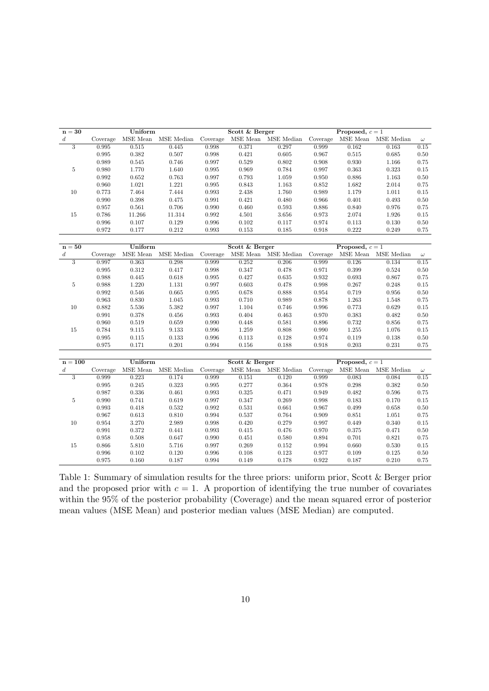| $\mathbf{n=30}$  |             | Uniform     |                              | Scott & Berger |                | Proposed, $c = 1$                                     |                 |                    |                     |          |
|------------------|-------------|-------------|------------------------------|----------------|----------------|-------------------------------------------------------|-----------------|--------------------|---------------------|----------|
| $\boldsymbol{d}$ | Coverage    |             | MSE Mean MSE Median Coverage |                |                | MSE Mean MSE Median Coverage                          |                 |                    | MSE Mean MSE Median | $\omega$ |
| $\overline{3}$   | 0.995       | 0.515       | 0.445                        | 0.998          | 0.371          | 0.297                                                 | 0.999           | 0.162              | 0.163               | 0.15     |
|                  | $\,0.995\,$ | 0.382       | $0.507\,$                    | 0.998          | 0.421          | $0.605\,$                                             | $\,0.967\,$     | $0.515\,$          | 0.685               | $0.50\,$ |
|                  | 0.989       | 0.545       | 0.746                        | 0.997          | 0.529          | 0.802                                                 | 0.908           | 0.930              | 1.166               | $0.75\,$ |
| $\mathbf 5$      | 0.980       | 1.770       | 1.640                        | 0.995          | 0.969          | 0.784                                                 | 0.997           | $\,0.363\,$        | 0.323               | $0.15\,$ |
|                  | $\,0.992\,$ | $\,0.652\,$ | $\,0.763\,$                  | 0.997          | $0.793\,$      | $1.059\,$                                             | 0.950           | $0.886\,$          | 1.163               | $0.50\,$ |
|                  | 0.960       | 1.021       | $1.221\,$                    | 0.995          | $\,0.843\,$    | 1.163                                                 | $\rm 0.852$     | $1.682\,$          | 2.014               | $0.75\,$ |
| 10               | $0.773\,$   | 7.464       | $7.444\,$                    | $\,0.993\,$    | 2.438          | 1.760                                                 | 0.989           | $1.179\,$          | 1.011               | $0.15\,$ |
|                  | 0.990       | 0.398       | 0.475                        | 0.991          | 0.421          | 0.480                                                 | 0.966           | 0.401              | 0.493               | 0.50     |
|                  | $\rm 0.957$ | 0.561       | 0.706                        | 0.990          | 0.460          | $\,0.593\,$                                           | 0.886           | 0.840              | 0.976               | 0.75     |
| 15               | $0.786\,$   | 11.266      | 11.314                       | $\,0.992\,$    | 4.501          | $3.656\,$                                             | 0.973           | $\phantom{-}2.074$ | 1.926               | $0.15\,$ |
|                  | $\,0.996\,$ | 0.107       | 0.129                        | 0.996          | $0.102\,$      | $0.117\,$                                             | 0.974           | 0.113              | 0.130               | $0.50\,$ |
|                  | 0.972       | 0.177       | 0.212                        | 0.993          | 0.153          | 0.185                                                 | $\rm 0.918$     | 0.222              | 0.249               | $0.75\,$ |
|                  |             |             |                              |                |                |                                                       |                 |                    |                     |          |
| $n = 50$         |             | Uniform     |                              |                | Scott & Berger |                                                       | Proposed, $c=1$ |                    |                     |          |
| $\boldsymbol{d}$ | Coverage    |             | MSE Mean MSE Median          | Coverage       |                | $\operatorname{MSE}$ Mean $\operatorname{MSE}$ Median | Coverage        |                    | MSE Mean MSE Median | $\omega$ |
| $\overline{3}$   | 0.997       | 0.363       | 0.298                        | 0.999          | 0.252          | 0.206                                                 | 0.999           | 0.126              | 0.134               | 0.15     |
|                  | $\,0.995\,$ | 0.312       | 0.417                        | 0.998          | 0.347          | $0.478\,$                                             | 0.971           | $\,0.399\,$        | 0.524               | $0.50\,$ |
|                  | 0.988       | 0.445       | 0.618                        | 0.995          | 0.427          | $\,0.635\,$                                           | 0.932           | 0.693              | 0.867               | $0.75\,$ |
| $\bf 5$          | $\,0.988\,$ | 1.220       | 1.131                        | 0.997          | 0.603          | $0.478\,$                                             | 0.998           | $0.267\,$          | 0.248               | $0.15\,$ |
|                  | $\,0.992\,$ | 0.546       | $\,0.665\,$                  | 0.995          | 0.678          | $\,0.888\,$                                           | 0.954           | $0.719\,$          | $\,0.956\,$         | $0.50\,$ |
|                  | 0.963       | 0.830       | 1.045                        | 0.993          | 0.710          | 0.989                                                 | 0.878           | 1.263              | 1.548               | 0.75     |
| 10               | 0.882       | 5.536       | $5.382\,$                    | 0.997          | 1.104          | $0.746\,$                                             | $\,0.996\,$     | $0.773\,$          | 0.629               | $0.15\,$ |
|                  | 0.991       | 0.378       | $0.456\,$                    | 0.993          | 0.404          | 0.463                                                 | 0.970           | $\,0.383\,$        | 0.482               | 0.50     |
|                  | 0.960       | 0.519       | 0.659                        | 0.990          | 0.448          | 0.581                                                 | 0.896           | 0.732              | 0.856               | $0.75\,$ |
| 15               | 0.784       | 9.115       | $\boldsymbol{9.133}$         | 0.996          | $1.259\,$      | $0.808\,$                                             | 0.990           | $1.255\,$          | 1.076               | $0.15\,$ |
|                  | $\,0.995\,$ | 0.115       | $\rm 0.133$                  | $\,0.996\,$    | 0.113          | 0.128                                                 | 0.974           | $0.119\,$          | $0.138\,$           | $0.50\,$ |
|                  | 0.975       | 0.171       | 0.201                        | 0.994          | 0.156          | 0.188                                                 | 0.918           | 0.203              | 0.231               | 0.75     |
|                  |             |             |                              |                |                |                                                       |                 |                    |                     |          |
| $n = 100$        |             | Uniform     |                              |                | Scott & Berger |                                                       | Proposed, $c=1$ |                    |                     |          |
| $\boldsymbol{d}$ | Coverage    |             | MSE Mean MSE Median          | Coverage       |                | $\operatorname{MSE}$ Mean $\operatorname{MSE}$ Median | Coverage        |                    | MSE Mean MSE Median | $\omega$ |
| 3                | 0.999       | 0.223       | 0.174                        | 0.999          | 0.151          | 0.120                                                 | 0.999           | 0.083              | 0.084               | 0.15     |
|                  | 0.995       | 0.245       | 0.323                        | 0.995          | 0.277          | 0.364                                                 | 0.978           | $\,0.298\,$        | 0.382               | $0.50\,$ |
|                  | 0.987       | $0.336\,$   | $\,0.461\,$                  | 0.993          | $\!0.325\!$    | $0.471\,$                                             | 0.949           | $\,0.482\,$        | $\,0.596\,$         | $0.75\,$ |
| $\bf 5$          | 0.990       | 0.741       | 0.619                        | 0.997          | 0.347          | $\,0.269\,$                                           | 0.998           | 0.183              | 0.170               | $0.15\,$ |
|                  | 0.993       | 0.418       | $\,0.532\,$                  | $\,0.992\,$    | 0.531          | 0.661                                                 | 0.967           | $\,0.499\,$        | 0.658               | $0.50\,$ |
|                  | 0.967       | $\,0.613\,$ | 0.810                        | 0.994          | 0.537          | 0.764                                                 | 0.909           | $\!0.851$          | 1.051               | $0.75\,$ |
| 10               | 0.954       | 3.270       | 2.989                        | 0.998          | 0.420          | 0.279                                                 | 0.997           | 0.449              | 0.340               | $0.15\,$ |
|                  | 0.991       | 0.372       | 0.441                        | 0.993          | 0.415          | 0.476                                                 | 0.970           | $\rm 0.375$        | 0.471               | $0.50\,$ |
|                  | $\,0.958\,$ | 0.508       | 0.647                        | 0.990          | 0.451          | $0.580\,$                                             | 0.894           | 0.701              | 0.821               | $0.75\,$ |
| 15               | $0.866\,$   | 5.810       | $5.716\,$                    | 0.997          | 0.269          | $\rm 0.152$                                           | 0.994           | $0.660\,$          | $0.530\,$           | $0.15\,$ |
|                  | $\,0.996\,$ | $0.102\,$   | 0.120                        | $\,0.996\,$    | $0.108\,$      | $\rm 0.123$                                           | 0.977           | 0.109              | $\rm 0.125$         | $0.50\,$ |
|                  | 0.975       | 0.160       | 0.187                        | 0.994          | 0.149          | 0.178                                                 | 0.922           | 0.187              | 0.210               | 0.75     |
|                  |             |             |                              |                |                |                                                       |                 |                    |                     |          |

Table 1: Summary of simulation results for the three priors: uniform prior, Scott & Berger prior and the proposed prior with  $c = 1$ . A proportion of identifying the true number of covariates within the 95% of the posterior probability (Coverage) and the mean squared error of posterior mean values (MSE Mean) and posterior median values (MSE Median) are computed.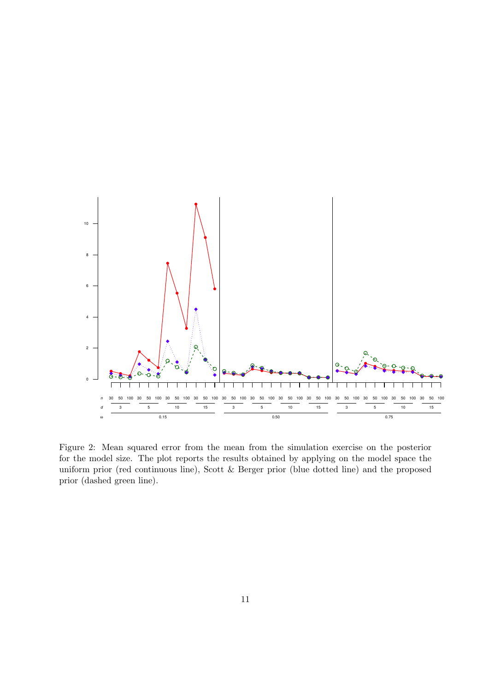

Figure 2: Mean squared error from the mean from the simulation exercise on the posterior for the model size. The plot reports the results obtained by applying on the model space the uniform prior (red continuous line), Scott & Berger prior (blue dotted line) and the proposed prior (dashed green line).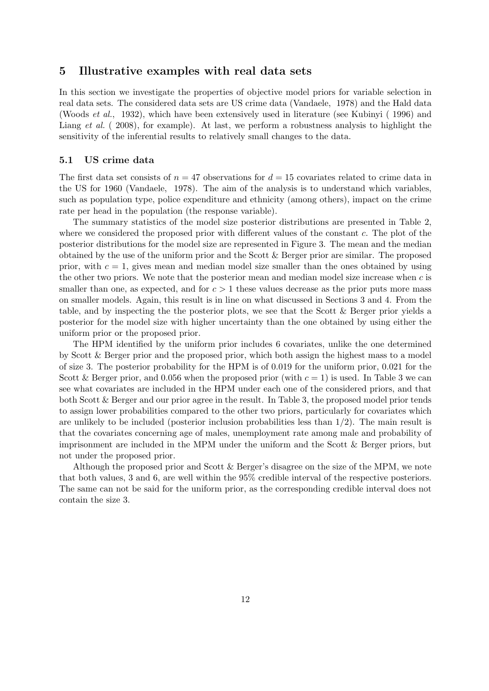## 5 Illustrative examples with real data sets

In this section we investigate the properties of objective model priors for variable selection in real data sets. The considered data sets are US crime data (Vandaele, 1978) and the Hald data (Woods et al., 1932), which have been extensively used in literature (see Kubinyi ( 1996) and Liang et al. (2008), for example). At last, we perform a robustness analysis to highlight the sensitivity of the inferential results to relatively small changes to the data.

#### 5.1 US crime data

The first data set consists of  $n = 47$  observations for  $d = 15$  covariates related to crime data in the US for 1960 (Vandaele, 1978). The aim of the analysis is to understand which variables, such as population type, police expenditure and ethnicity (among others), impact on the crime rate per head in the population (the response variable).

The summary statistics of the model size posterior distributions are presented in Table 2, where we considered the proposed prior with different values of the constant  $c$ . The plot of the posterior distributions for the model size are represented in Figure 3. The mean and the median obtained by the use of the uniform prior and the Scott & Berger prior are similar. The proposed prior, with  $c = 1$ , gives mean and median model size smaller than the ones obtained by using the other two priors. We note that the posterior mean and median model size increase when  $c$  is smaller than one, as expected, and for  $c > 1$  these values decrease as the prior puts more mass on smaller models. Again, this result is in line on what discussed in Sections 3 and 4. From the table, and by inspecting the the posterior plots, we see that the Scott & Berger prior yields a posterior for the model size with higher uncertainty than the one obtained by using either the uniform prior or the proposed prior.

The HPM identified by the uniform prior includes 6 covariates, unlike the one determined by Scott & Berger prior and the proposed prior, which both assign the highest mass to a model of size 3. The posterior probability for the HPM is of 0.019 for the uniform prior, 0.021 for the Scott & Berger prior, and 0.056 when the proposed prior (with  $c = 1$ ) is used. In Table 3 we can see what covariates are included in the HPM under each one of the considered priors, and that both Scott & Berger and our prior agree in the result. In Table 3, the proposed model prior tends to assign lower probabilities compared to the other two priors, particularly for covariates which are unlikely to be included (posterior inclusion probabilities less than  $1/2$ ). The main result is that the covariates concerning age of males, unemployment rate among male and probability of imprisonment are included in the MPM under the uniform and the Scott & Berger priors, but not under the proposed prior.

Although the proposed prior and Scott & Berger's disagree on the size of the MPM, we note that both values, 3 and 6, are well within the 95% credible interval of the respective posteriors. The same can not be said for the uniform prior, as the corresponding credible interval does not contain the size 3.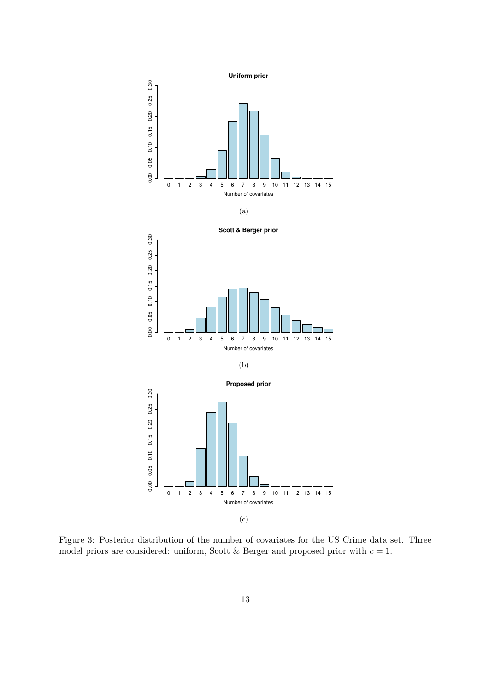

Figure 3: Posterior distribution of the number of covariates for the US Crime data set. Three model priors are considered: uniform, Scott & Berger and proposed prior with  $c = 1$ .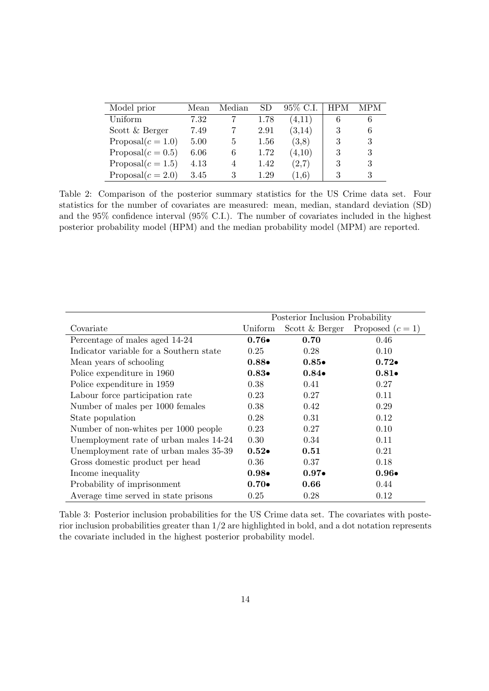| Model prior          | Mean | Median | SD   | 95\% C.I. | HPM | <b>MPM</b> |
|----------------------|------|--------|------|-----------|-----|------------|
| Uniform              | 7.32 |        | 1.78 | (4.11)    | 6   | 6          |
| Scott & Berger       | 7.49 |        | 2.91 | (3,14)    | 3   |            |
| Proposal $(c=1.0)$   | 5.00 | 5      | 1.56 | (3,8)     | 3   | 3          |
| Proposal $(c = 0.5)$ | 6.06 | 6      | 1.72 | (4,10)    | 3   | 3          |
| Proposal $(c = 1.5)$ | 4.13 | 4      | 1.42 | (2,7)     | 3   | 3          |
| Proposal $(c = 2.0)$ | 3.45 | 3      | 1.29 | (1, 6)    | 3   |            |

Table 2: Comparison of the posterior summary statistics for the US Crime data set. Four statistics for the number of covariates are measured: mean, median, standard deviation (SD) and the 95% confidence interval (95% C.I.). The number of covariates included in the highest posterior probability model (HPM) and the median probability model (MPM) are reported.

|                                         | Posterior Inclusion Probability |                  |                  |  |  |
|-----------------------------------------|---------------------------------|------------------|------------------|--|--|
| Covariate                               | Uniform                         | Scott $&$ Berger | Proposed $(c=1)$ |  |  |
| Percentage of males aged 14-24          | $0.76\bullet$                   | 0.70             | 0.46             |  |  |
| Indicator variable for a Southern state | 0.25                            | 0.28             | 0.10             |  |  |
| Mean years of schooling                 | $0.88 \bullet$                  | $0.85\bullet$    | $0.72\bullet$    |  |  |
| Police expenditure in 1960              | $0.83\bullet$                   | $0.84\bullet$    | $0.81\bullet$    |  |  |
| Police expenditure in 1959              | 0.38                            | 0.41             | 0.27             |  |  |
| Labour force participation rate         | 0.23                            | 0.27             | 0.11             |  |  |
| Number of males per 1000 females        | 0.38                            | 0.42             | 0.29             |  |  |
| State population                        | 0.28                            | 0.31             | 0.12             |  |  |
| Number of non-whites per 1000 people    | 0.23                            | 0.27             | 0.10             |  |  |
| Unemployment rate of urban males 14-24  | 0.30                            | 0.34             | 0.11             |  |  |
| Unemployment rate of urban males 35-39  | $0.52\bullet$                   | 0.51             | 0.21             |  |  |
| Gross domestic product per head         | 0.36                            | 0.37             | 0.18             |  |  |
| Income inequality                       | $0.98 \bullet$                  | $0.97\bullet$    | $0.96 \bullet$   |  |  |
| Probability of imprisonment             | $0.70\bullet$                   | 0.66             | 0.44             |  |  |
| Average time served in state prisons    | 0.25                            | 0.28             | 0.12             |  |  |

Table 3: Posterior inclusion probabilities for the US Crime data set. The covariates with posterior inclusion probabilities greater than 1/2 are highlighted in bold, and a dot notation represents the covariate included in the highest posterior probability model.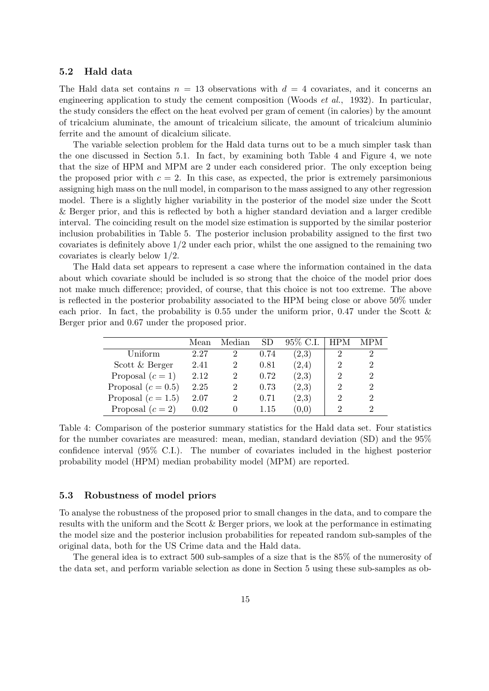#### 5.2 Hald data

The Hald data set contains  $n = 13$  observations with  $d = 4$  covariates, and it concerns an engineering application to study the cement composition (Woods et al., 1932). In particular, the study considers the effect on the heat evolved per gram of cement (in calories) by the amount of tricalcium aluminate, the amount of tricalcium silicate, the amount of tricalcium aluminio ferrite and the amount of dicalcium silicate.

The variable selection problem for the Hald data turns out to be a much simpler task than the one discussed in Section 5.1. In fact, by examining both Table 4 and Figure 4, we note that the size of HPM and MPM are 2 under each considered prior. The only exception being the proposed prior with  $c = 2$ . In this case, as expected, the prior is extremely parsimonious assigning high mass on the null model, in comparison to the mass assigned to any other regression model. There is a slightly higher variability in the posterior of the model size under the Scott & Berger prior, and this is reflected by both a higher standard deviation and a larger credible interval. The coinciding result on the model size estimation is supported by the similar posterior inclusion probabilities in Table 5. The posterior inclusion probability assigned to the first two covariates is definitely above 1/2 under each prior, whilst the one assigned to the remaining two covariates is clearly below 1/2.

The Hald data set appears to represent a case where the information contained in the data about which covariate should be included is so strong that the choice of the model prior does not make much difference; provided, of course, that this choice is not too extreme. The above is reflected in the posterior probability associated to the HPM being close or above 50% under each prior. In fact, the probability is 0.55 under the uniform prior, 0.47 under the Scott  $\&$ Berger prior and 0.67 under the proposed prior.

|                      | Mean | Median         | SD   | 95\% C.I.           | <b>HPM</b>    | MPM |
|----------------------|------|----------------|------|---------------------|---------------|-----|
| Uniform              | 2.27 |                | 0.74 | (2,3)               |               |     |
| Scott & Berger       | 2.41 | $\overline{2}$ | 0.81 | (2,4)               | 2             |     |
| Proposal $(c=1)$     | 2.12 | 2              | 0.72 | (2,3)               | $\mathcal{D}$ |     |
| Proposal $(c = 0.5)$ | 2.25 | 2              | 0.73 | (2,3)               | 9             |     |
| Proposal $(c = 1.5)$ | 2.07 |                | 0.71 | $\left( 2.3\right)$ | $\mathcal{D}$ |     |
| Proposal $(c=2)$     | 0.02 |                | 1.15 | $\left(0,0\right)$  | റ             |     |

Table 4: Comparison of the posterior summary statistics for the Hald data set. Four statistics for the number covariates are measured: mean, median, standard deviation (SD) and the 95% confidence interval (95% C.I.). The number of covariates included in the highest posterior probability model (HPM) median probability model (MPM) are reported.

#### 5.3 Robustness of model priors

To analyse the robustness of the proposed prior to small changes in the data, and to compare the results with the uniform and the Scott & Berger priors, we look at the performance in estimating the model size and the posterior inclusion probabilities for repeated random sub-samples of the original data, both for the US Crime data and the Hald data.

The general idea is to extract 500 sub-samples of a size that is the 85% of the numerosity of the data set, and perform variable selection as done in Section 5 using these sub-samples as ob-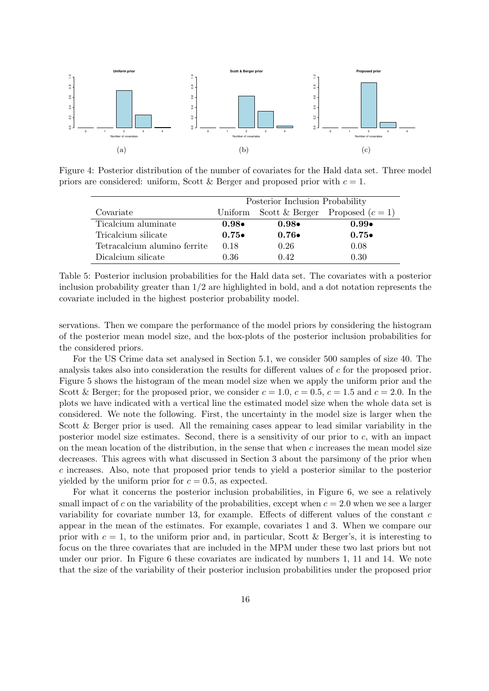

Figure 4: Posterior distribution of the number of covariates for the Hald data set. Three model priors are considered: uniform, Scott & Berger and proposed prior with  $c = 1$ .

|                              | Posterior Inclusion Probability |               |                                   |  |  |
|------------------------------|---------------------------------|---------------|-----------------------------------|--|--|
| Covariate                    | Uniform                         |               | Scott & Berger Proposed $(c = 1)$ |  |  |
| Ticalcium aluminate          | $0.98\bullet$                   | $0.98\bullet$ | $0.99\bullet$                     |  |  |
| Tricalcium silicate          | $0.75\bullet$                   | $0.76\bullet$ | $0.75\bullet$                     |  |  |
| Tetracalcium alumino ferrite | 0.18                            | 0.26          | 0.08                              |  |  |
| Dicalcium silicate           | 0.36                            | 0.42          | 0.30                              |  |  |

Table 5: Posterior inclusion probabilities for the Hald data set. The covariates with a posterior inclusion probability greater than  $1/2$  are highlighted in bold, and a dot notation represents the covariate included in the highest posterior probability model.

servations. Then we compare the performance of the model priors by considering the histogram of the posterior mean model size, and the box-plots of the posterior inclusion probabilities for the considered priors.

For the US Crime data set analysed in Section 5.1, we consider 500 samples of size 40. The analysis takes also into consideration the results for different values of c for the proposed prior. Figure 5 shows the histogram of the mean model size when we apply the uniform prior and the Scott & Berger; for the proposed prior, we consider  $c = 1.0$ ,  $c = 0.5$ ,  $c = 1.5$  and  $c = 2.0$ . In the plots we have indicated with a vertical line the estimated model size when the whole data set is considered. We note the following. First, the uncertainty in the model size is larger when the Scott & Berger prior is used. All the remaining cases appear to lead similar variability in the posterior model size estimates. Second, there is a sensitivity of our prior to c, with an impact on the mean location of the distribution, in the sense that when  $c$  increases the mean model size decreases. This agrees with what discussed in Section 3 about the parsimony of the prior when c increases. Also, note that proposed prior tends to yield a posterior similar to the posterior yielded by the uniform prior for  $c = 0.5$ , as expected.

For what it concerns the posterior inclusion probabilities, in Figure 6, we see a relatively small impact of c on the variability of the probabilities, except when  $c = 2.0$  when we see a larger variability for covariate number 13, for example. Effects of different values of the constant  $c$ appear in the mean of the estimates. For example, covariates 1 and 3. When we compare our prior with  $c = 1$ , to the uniform prior and, in particular, Scott & Berger's, it is interesting to focus on the three covariates that are included in the MPM under these two last priors but not under our prior. In Figure 6 these covariates are indicated by numbers 1, 11 and 14. We note that the size of the variability of their posterior inclusion probabilities under the proposed prior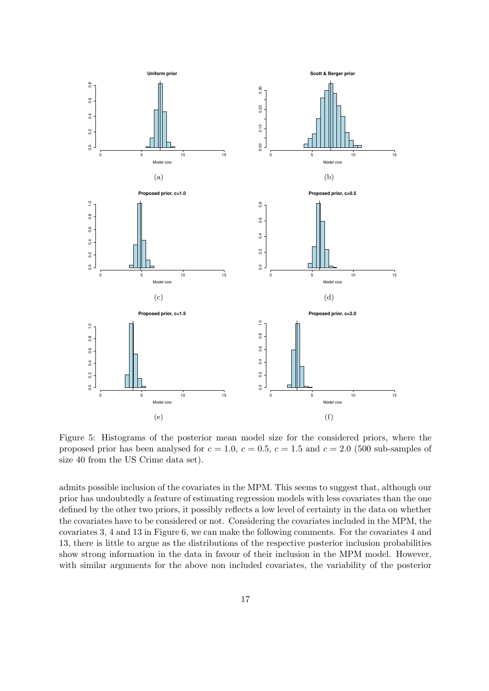

Figure 5: Histograms of the posterior mean model size for the considered priors, where the proposed prior has been analysed for  $c = 1.0$ ,  $c = 0.5$ ,  $c = 1.5$  and  $c = 2.0$  (500 sub-samples of size 40 from the US Crime data set).

admits possible inclusion of the covariates in the MPM. This seems to suggest that, although our prior has undoubtedly a feature of estimating regression models with less covariates than the one defined by the other two priors, it possibly reflects a low level of certainty in the data on whether the covariates have to be considered or not. Considering the covariates included in the MPM, the covariates 3, 4 and 13 in Figure 6, we can make the following comments. For the covariates 4 and 13, there is little to argue as the distributions of the respective posterior inclusion probabilities show strong information in the data in favour of their inclusion in the MPM model. However, with similar arguments for the above non included covariates, the variability of the posterior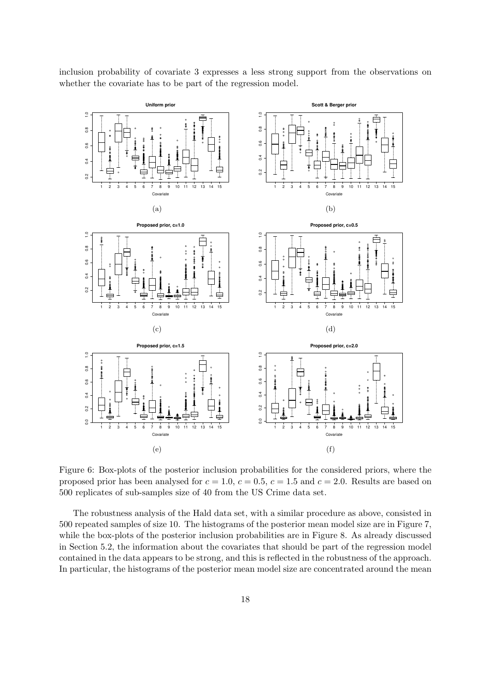inclusion probability of covariate 3 expresses a less strong support from the observations on whether the covariate has to be part of the regression model.



Figure 6: Box-plots of the posterior inclusion probabilities for the considered priors, where the proposed prior has been analysed for  $c = 1.0$ ,  $c = 0.5$ ,  $c = 1.5$  and  $c = 2.0$ . Results are based on 500 replicates of sub-samples size of 40 from the US Crime data set.

The robustness analysis of the Hald data set, with a similar procedure as above, consisted in 500 repeated samples of size 10. The histograms of the posterior mean model size are in Figure 7, while the box-plots of the posterior inclusion probabilities are in Figure 8. As already discussed in Section 5.2, the information about the covariates that should be part of the regression model contained in the data appears to be strong, and this is reflected in the robustness of the approach. In particular, the histograms of the posterior mean model size are concentrated around the mean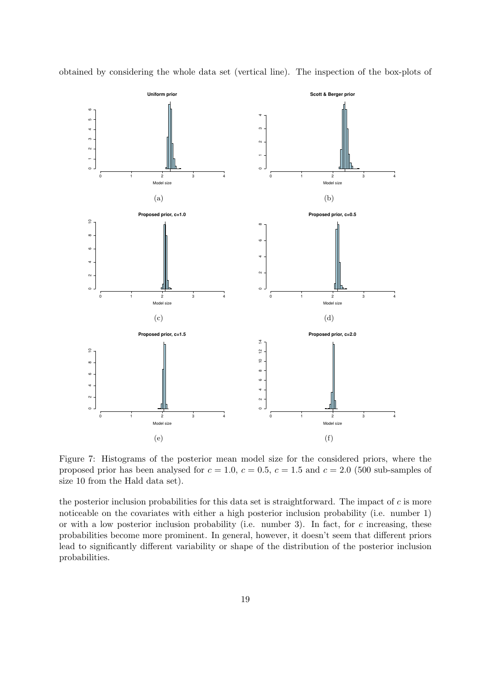

obtained by considering the whole data set (vertical line). The inspection of the box-plots of

Figure 7: Histograms of the posterior mean model size for the considered priors, where the proposed prior has been analysed for  $c = 1.0$ ,  $c = 0.5$ ,  $c = 1.5$  and  $c = 2.0$  (500 sub-samples of size 10 from the Hald data set).

the posterior inclusion probabilities for this data set is straightforward. The impact of  $c$  is more noticeable on the covariates with either a high posterior inclusion probability (i.e. number 1) or with a low posterior inclusion probability (i.e. number 3). In fact, for  $c$  increasing, these probabilities become more prominent. In general, however, it doesn't seem that different priors lead to significantly different variability or shape of the distribution of the posterior inclusion probabilities.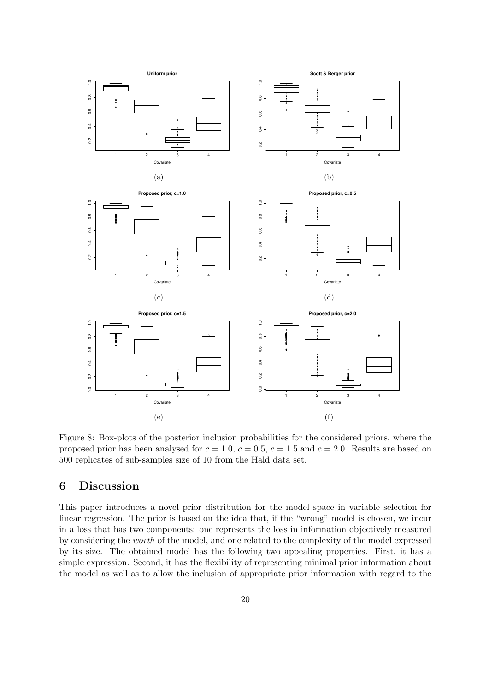

Figure 8: Box-plots of the posterior inclusion probabilities for the considered priors, where the proposed prior has been analysed for  $c = 1.0$ ,  $c = 0.5$ ,  $c = 1.5$  and  $c = 2.0$ . Results are based on 500 replicates of sub-samples size of 10 from the Hald data set.

## 6 Discussion

This paper introduces a novel prior distribution for the model space in variable selection for linear regression. The prior is based on the idea that, if the "wrong" model is chosen, we incur in a loss that has two components: one represents the loss in information objectively measured by considering the worth of the model, and one related to the complexity of the model expressed by its size. The obtained model has the following two appealing properties. First, it has a simple expression. Second, it has the flexibility of representing minimal prior information about the model as well as to allow the inclusion of appropriate prior information with regard to the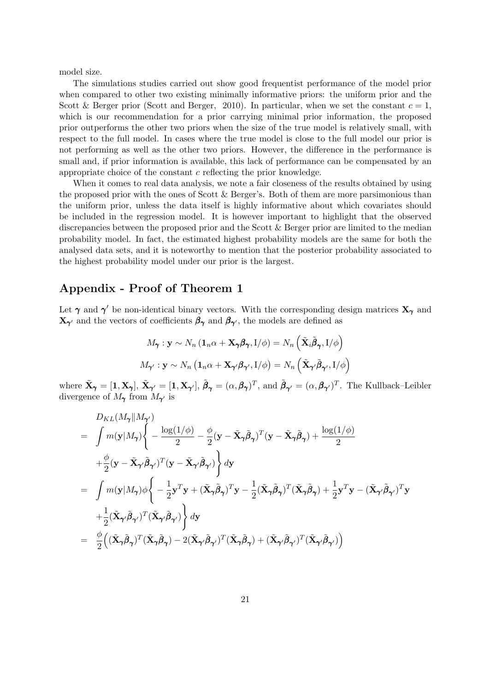model size.

The simulations studies carried out show good frequentist performance of the model prior when compared to other two existing minimally informative priors: the uniform prior and the Scott & Berger prior (Scott and Berger, 2010). In particular, when we set the constant  $c = 1$ , which is our recommendation for a prior carrying minimal prior information, the proposed prior outperforms the other two priors when the size of the true model is relatively small, with respect to the full model. In cases where the true model is close to the full model our prior is not performing as well as the other two priors. However, the difference in the performance is small and, if prior information is available, this lack of performance can be compensated by an appropriate choice of the constant  $c$  reflecting the prior knowledge.

When it comes to real data analysis, we note a fair closeness of the results obtained by using the proposed prior with the ones of Scott & Berger's. Both of them are more parsimonious than the uniform prior, unless the data itself is highly informative about which covariates should be included in the regression model. It is however important to highlight that the observed discrepancies between the proposed prior and the Scott & Berger prior are limited to the median probability model. In fact, the estimated highest probability models are the same for both the analysed data sets, and it is noteworthy to mention that the posterior probability associated to the highest probability model under our prior is the largest.

## Appendix - Proof of Theorem 1

Let  $\gamma$  and  $\gamma'$  be non-identical binary vectors. With the corresponding design matrices  $X_{\gamma}$  and  $\mathbf{X}_{\pmb{\gamma}'}$  and the vectors of coefficients  $\beta_{\pmb{\gamma}}$  and  $\beta_{\pmb{\gamma}'},$  the models are defined as

$$
M_{\pmb\gamma}: \mathbf{y} \sim N_n \left(\mathbf{1}_n \alpha + \mathbf{X}_{\pmb\gamma} \boldsymbol\beta_{\pmb\gamma}, I/\phi\right) = N_n \left(\tilde{\mathbf{X}}_i \tilde{\boldsymbol\beta}_{\pmb\gamma}, I/\phi\right)
$$

$$
M_{\pmb\gamma'}: \mathbf{y} \sim N_n \left(\mathbf{1}_n \alpha + \mathbf{X}_{\pmb\gamma'} \boldsymbol\beta_{\pmb\gamma'}, I/\phi\right) = N_n \left(\tilde{\mathbf{X}}_{\pmb\gamma'} \tilde{\boldsymbol\beta}_{\pmb\gamma'}, I/\phi\right)
$$

where  $\tilde{\mathbf{X}}_{\pmb{\gamma}} = [\mathbf{1}, \mathbf{X}_{\pmb{\gamma}}], \tilde{\pmb{\beta}}_{\pmb{\gamma}} = (\alpha, \beta_{\pmb{\gamma}})^T$ , and  $\tilde{\pmb{\beta}}_{\pmb{\gamma}'} = (\alpha, \beta_{\pmb{\gamma}'})^T$ . The Kullback–Leibler divergence of  $M_{\gamma}$  from  $M_{\gamma'}$  is

$$
D_{KL}(M_{\gamma}||M_{\gamma'})
$$
\n
$$
= \int m(\mathbf{y}|M_{\gamma}) \left\{ -\frac{\log(1/\phi)}{2} - \frac{\phi}{2} (\mathbf{y} - \tilde{\mathbf{X}}_{\gamma} \tilde{\boldsymbol{\beta}}_{\gamma})^T (\mathbf{y} - \tilde{\mathbf{X}}_{\gamma} \tilde{\boldsymbol{\beta}}_{\gamma}) + \frac{\log(1/\phi)}{2} + \frac{\phi}{2} (\mathbf{y} - \tilde{\mathbf{X}}_{\gamma'} \tilde{\boldsymbol{\beta}}_{\gamma'})^T (\mathbf{y} - \tilde{\mathbf{X}}_{\gamma'} \tilde{\boldsymbol{\beta}}_{\gamma'}) \right\} d\mathbf{y}
$$
\n
$$
= \int m(\mathbf{y}|M_{\gamma}) \phi \left\{ -\frac{1}{2} \mathbf{y}^T \mathbf{y} + (\tilde{\mathbf{X}}_{\gamma} \tilde{\boldsymbol{\beta}}_{\gamma})^T \mathbf{y} - \frac{1}{2} (\tilde{\mathbf{X}}_{\gamma} \tilde{\boldsymbol{\beta}}_{\gamma})^T (\tilde{\mathbf{X}}_{\gamma} \tilde{\boldsymbol{\beta}}_{\gamma}) + \frac{1}{2} \mathbf{y}^T \mathbf{y} - (\tilde{\mathbf{X}}_{\gamma'} \tilde{\boldsymbol{\beta}}_{\gamma'})^T \mathbf{y} + \frac{1}{2} (\tilde{\mathbf{X}}_{\gamma'} \tilde{\boldsymbol{\beta}}_{\gamma'})^T (\tilde{\mathbf{X}}_{\gamma'} \tilde{\boldsymbol{\beta}}_{\gamma'}) \right\} d\mathbf{y}
$$
\n
$$
= \frac{\phi}{2} ((\tilde{\mathbf{X}}_{\gamma} \tilde{\boldsymbol{\beta}}_{\gamma})^T (\tilde{\mathbf{X}}_{\gamma} \tilde{\boldsymbol{\beta}}_{\gamma}) - 2 (\tilde{\mathbf{X}}_{\gamma'} \tilde{\boldsymbol{\beta}}_{\gamma'})^T (\tilde{\mathbf{X}}_{\gamma} \tilde{\boldsymbol{\beta}}_{\gamma}) + (\tilde{\mathbf{X}}_{\gamma'} \tilde{\boldsymbol{\beta}}_{\gamma'})^T (\tilde{\mathbf{X}}_{\gamma'} \tilde{\boldsymbol{\beta}}_{\gamma'}) \right)
$$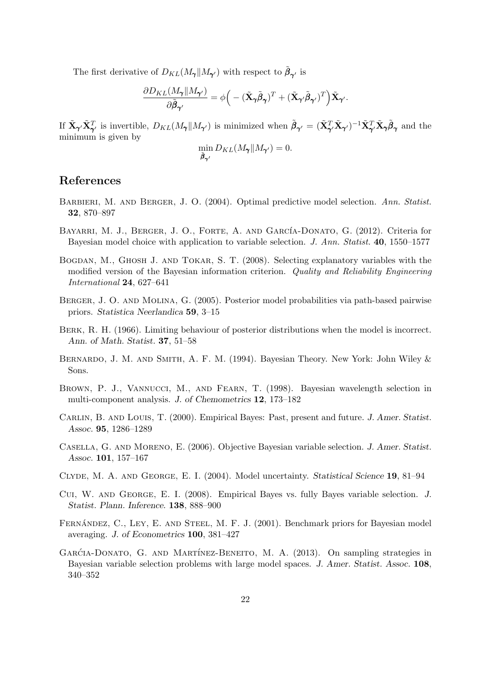The first derivative of  $D_{KL}(M_{\pmb{\gamma}}||M_{\pmb{\gamma'}})$  with respect to  $\tilde{\beta}_{\pmb{\gamma'}}$  is

$$
\frac{\partial D_{KL}(M_{\pmb\gamma}\|M_{\pmb\gamma'})}{\partial \tilde{\pmb\beta}_{\pmb\gamma'}}=\phi\Big(-(\tilde{\mathbf{X}}_{\pmb\gamma}\tilde{\pmb\beta}_{\pmb\gamma})^T+(\tilde{\mathbf{X}}_{\pmb\gamma'}\tilde{\pmb\beta}_{\pmb\gamma'})^T\Big)\tilde{\mathbf{X}}_{\pmb\gamma'}.
$$

If  $\tilde{\mathbf{X}}_{\pmb{\gamma}'}\tilde{\mathbf{X}}_{\pmb{\gamma}'}^T$  is invertible,  $D_{KL}(M_{\pmb{\gamma}}||M_{\pmb{\gamma}'})$  is minimized when  $\tilde{\pmb{\beta}}_{\pmb{\gamma}'} = (\tilde{\mathbf{X}}_{\pmb{\gamma}'}^T\tilde{\mathbf{X}}_{\pmb{\gamma}'})^{-1}\tilde{\mathbf{X}}_{\pmb{\gamma}'}^T\tilde{\mathbf{X}}_{\pmb{\gamma}}\tilde{\pmb{\beta}}_{\pmb{\gamma}}$  and the minimum is given by

$$
\min_{\tilde{\boldsymbol{\beta}}_{\boldsymbol{\gamma}^\prime}} D_{KL}(M_{\boldsymbol{\gamma}} \| M_{\boldsymbol{\gamma}^\prime}) = 0.
$$

## References

- BARBIERI, M. AND BERGER, J. O. (2004). Optimal predictive model selection. Ann. Statist. 32, 870–897
- BAYARRI, M. J., BERGER, J. O., FORTE, A. AND GARCÍA-DONATO, G. (2012). Criteria for Bayesian model choice with application to variable selection. J. Ann. Statist. 40, 1550–1577
- Bogdan, M., Ghosh J. and Tokar, S. T. (2008). Selecting explanatory variables with the modified version of the Bayesian information criterion. Quality and Reliability Engineering International 24, 627–641
- Berger, J. O. and Molina, G. (2005). Posterior model probabilities via path-based pairwise priors. Statistica Neerlandica 59, 3–15
- Berk, R. H. (1966). Limiting behaviour of posterior distributions when the model is incorrect. Ann. of Math. Statist. 37, 51–58
- Bernardo, J. M. and Smith, A. F. M. (1994). Bayesian Theory. New York: John Wiley & Sons.
- Brown, P. J., Vannucci, M., and Fearn, T. (1998). Bayesian wavelength selection in multi-component analysis. J. of Chemometrics 12, 173–182
- CARLIN, B. AND LOUIS, T. (2000). Empirical Bayes: Past, present and future. J. Amer. Statist. Assoc. 95, 1286–1289
- Casella, G. and Moreno, E. (2006). Objective Bayesian variable selection. J. Amer. Statist. Assoc. 101, 157–167
- Clyde, M. A. and George, E. I. (2004). Model uncertainty. Statistical Science 19, 81–94
- Cui, W. and George, E. I. (2008). Empirical Bayes vs. fully Bayes variable selection. J. Statist. Plann. Inference. 138, 888–900
- FERNÁNDEZ, C., LEY, E. AND STEEL, M. F. J. (2001). Benchmark priors for Bayesian model averaging. J. of Econometrics 100, 381–427
- GARĆIA-DONATO, G. AND MARTÍNEZ-BENEITO, M. A. (2013). On sampling strategies in Bayesian variable selection problems with large model spaces. J. Amer. Statist. Assoc. 108, 340–352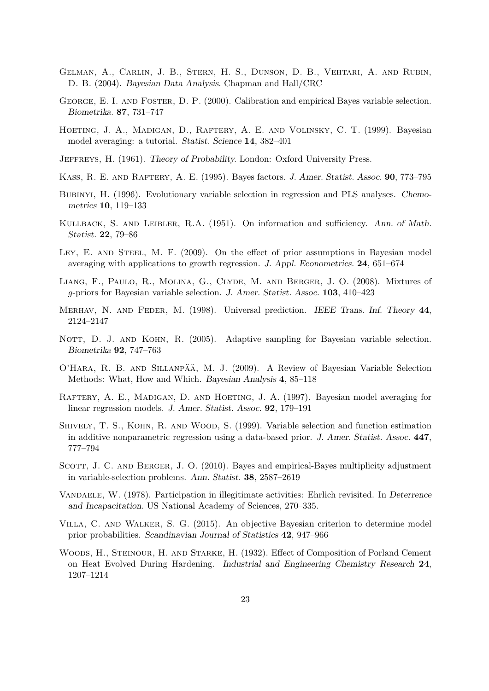- Gelman, A., Carlin, J. B., Stern, H. S., Dunson, D. B., Vehtari, A. and Rubin, D. B. (2004). Bayesian Data Analysis. Chapman and Hall/CRC
- George, E. I. and Foster, D. P. (2000). Calibration and empirical Bayes variable selection. Biometrika. 87, 731–747
- HOETING, J. A., MADIGAN, D., RAFTERY, A. E. AND VOLINSKY, C. T. (1999). Bayesian model averaging: a tutorial. Statist. Science 14, 382–401
- Jeffreys, H. (1961). Theory of Probability. London: Oxford University Press.
- Kass, R. E. and Raftery, A. E. (1995). Bayes factors. J. Amer. Statist. Assoc. 90, 773–795
- Bubinyi, H. (1996). Evolutionary variable selection in regression and PLS analyses. Chemometrics 10, 119–133
- Kullback, S. and Leibler, R.A. (1951). On information and sufficiency. Ann. of Math. Statist. 22, 79–86
- LEY, E. AND STEEL, M. F. (2009). On the effect of prior assumptions in Bayesian model averaging with applications to growth regression. J. Appl. Econometrics. 24, 651–674
- Liang, F., Paulo, R., Molina, G., Clyde, M. and Berger, J. O. (2008). Mixtures of g-priors for Bayesian variable selection. J. Amer. Statist. Assoc. 103, 410–423
- Merhav, N. and Feder, M. (1998). Universal prediction. IEEE Trans. Inf. Theory 44, 2124–2147
- NOTT, D. J. AND KOHN, R. (2005). Adaptive sampling for Bayesian variable selection. Biometrika 92, 747–763
- O'HARA, R. B. AND SILLANPÄÄ, M. J. (2009). A Review of Bayesian Variable Selection Methods: What, How and Which. Bayesian Analysis 4, 85–118
- RAFTERY, A. E., MADIGAN, D. AND HOETING, J. A. (1997). Bayesian model averaging for linear regression models. J. Amer. Statist. Assoc. 92, 179–191
- Shively, T. S., Kohn, R. and Wood, S. (1999). Variable selection and function estimation in additive nonparametric regression using a data-based prior. J. Amer. Statist. Assoc. 447, 777–794
- SCOTT, J. C. AND BERGER, J. O. (2010). Bayes and empirical-Bayes multiplicity adjustment in variable-selection problems. Ann. Statist. 38, 2587–2619
- Vandaele, W. (1978). Participation in illegitimate activities: Ehrlich revisited. In Deterrence and Incapacitation. US National Academy of Sciences, 270–335.
- Villa, C. and Walker, S. G. (2015). An objective Bayesian criterion to determine model prior probabilities. Scandinavian Journal of Statistics 42, 947–966
- WOODS, H., STEINOUR, H. AND STARKE, H. (1932). Effect of Composition of Porland Cement on Heat Evolved During Hardening. Industrial and Engineering Chemistry Research 24, 1207–1214